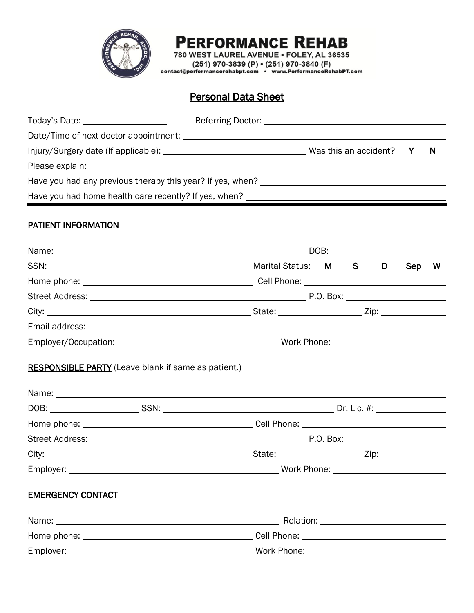

# **PERFORMANCE REHAB**

780 WEST LAUREL AVENUE . FOLEY, AL 36535  $(251)$  970-3839 (P)  $\cdot$  (251) 970-3840 (F)<br>contact@performancerehabpt.com  $\cdot$  www.PerformanceRehabPT.com

# Personal Data Sheet

|                                                                                                                                                                                                                                | Was this an accident? Y | N |
|--------------------------------------------------------------------------------------------------------------------------------------------------------------------------------------------------------------------------------|-------------------------|---|
| Please explain: Note and the set of the set of the set of the set of the set of the set of the set of the set of the set of the set of the set of the set of the set of the set of the set of the set of the set of the set of |                         |   |
| Have you had any previous therapy this year? If yes, when?                                                                                                                                                                     |                         |   |
| Have you had home health care recently? If yes, when?                                                                                                                                                                          |                         |   |

## PATIENT INFORMATION

|                          |                                                            |  |  |  |  | Sep W |  |  |  |
|--------------------------|------------------------------------------------------------|--|--|--|--|-------|--|--|--|
|                          |                                                            |  |  |  |  |       |  |  |  |
|                          |                                                            |  |  |  |  |       |  |  |  |
|                          |                                                            |  |  |  |  |       |  |  |  |
|                          |                                                            |  |  |  |  |       |  |  |  |
|                          |                                                            |  |  |  |  |       |  |  |  |
|                          | <b>RESPONSIBLE PARTY</b> (Leave blank if same as patient.) |  |  |  |  |       |  |  |  |
|                          |                                                            |  |  |  |  |       |  |  |  |
|                          |                                                            |  |  |  |  |       |  |  |  |
|                          |                                                            |  |  |  |  |       |  |  |  |
|                          |                                                            |  |  |  |  |       |  |  |  |
|                          |                                                            |  |  |  |  |       |  |  |  |
|                          |                                                            |  |  |  |  |       |  |  |  |
| <b>EMERGENCY CONTACT</b> |                                                            |  |  |  |  |       |  |  |  |
|                          |                                                            |  |  |  |  |       |  |  |  |
|                          |                                                            |  |  |  |  |       |  |  |  |
|                          |                                                            |  |  |  |  |       |  |  |  |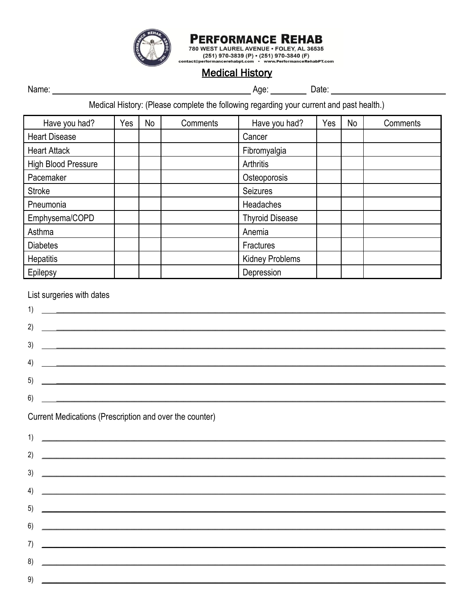

**PERFORMANCE REHAB** 780 WEST LAUREL AVENUE - FOLEY, AL 36535<br>tact@performancerehabpt.com - www.PerformanceRehabPT.com<br>tact@performancerehabpt.com - www.PerformanceRehabPT.com

contact@

# **Medical History**

Medical History: (Please complete the following regarding your current and past health.)

| Have you had?              | Yes | No | Comments | Have you had?          | Yes | No | Comments |
|----------------------------|-----|----|----------|------------------------|-----|----|----------|
| <b>Heart Disease</b>       |     |    |          | Cancer                 |     |    |          |
| <b>Heart Attack</b>        |     |    |          | Fibromyalgia           |     |    |          |
| <b>High Blood Pressure</b> |     |    |          | Arthritis              |     |    |          |
| Pacemaker                  |     |    |          | Osteoporosis           |     |    |          |
| <b>Stroke</b>              |     |    |          | <b>Seizures</b>        |     |    |          |
| Pneumonia                  |     |    |          | <b>Headaches</b>       |     |    |          |
| Emphysema/COPD             |     |    |          | <b>Thyroid Disease</b> |     |    |          |
| Asthma                     |     |    |          | Anemia                 |     |    |          |
| <b>Diabetes</b>            |     |    |          | Fractures              |     |    |          |
| <b>Hepatitis</b>           |     |    |          | <b>Kidney Problems</b> |     |    |          |
| Epilepsy                   |     |    |          | Depression             |     |    |          |

#### List surgeries with dates

 $9)$ 

| 1)<br><u> 1989 - Jan Barnett, mars ann an t-Amhain ann an t-Amhain an t-Amhain an t-Amhain an t-Amhain an t-Amhain an t-</u> |
|------------------------------------------------------------------------------------------------------------------------------|
| 2)                                                                                                                           |
| 3)<br><u> 1989 - Jan Samuel Barbara, margaret a shekara 1989 - Andrea Samuel Barbara, marka 1989 - Andrea Samuel Barbar</u>  |
|                                                                                                                              |
| 4)<br><u> 1986 - Jan Barbara de Santo Antonio de Antonio de Antonio de Antonio de Antonio de Antonio de Antonio de An</u>    |
| 5)<br><u> 1989 - Johann Stoff, deutscher Stoffen und der Stoffen und der Stoffen und der Stoffen und der Stoffen und de</u>  |
| 6)                                                                                                                           |
| Current Medications (Prescription and over the counter)                                                                      |
| 1)                                                                                                                           |
| 2)                                                                                                                           |
| 3)                                                                                                                           |
|                                                                                                                              |
| 4)                                                                                                                           |
| 5)<br><u> 1989 - Johann Stoff, amerikansk politiker (d. 1989)</u>                                                            |
| 6)<br><u> 1989 - Johann Stoff, amerikansk politik (d. 1989)</u>                                                              |
| 7)                                                                                                                           |
| $\mathsf{B}$                                                                                                                 |
|                                                                                                                              |